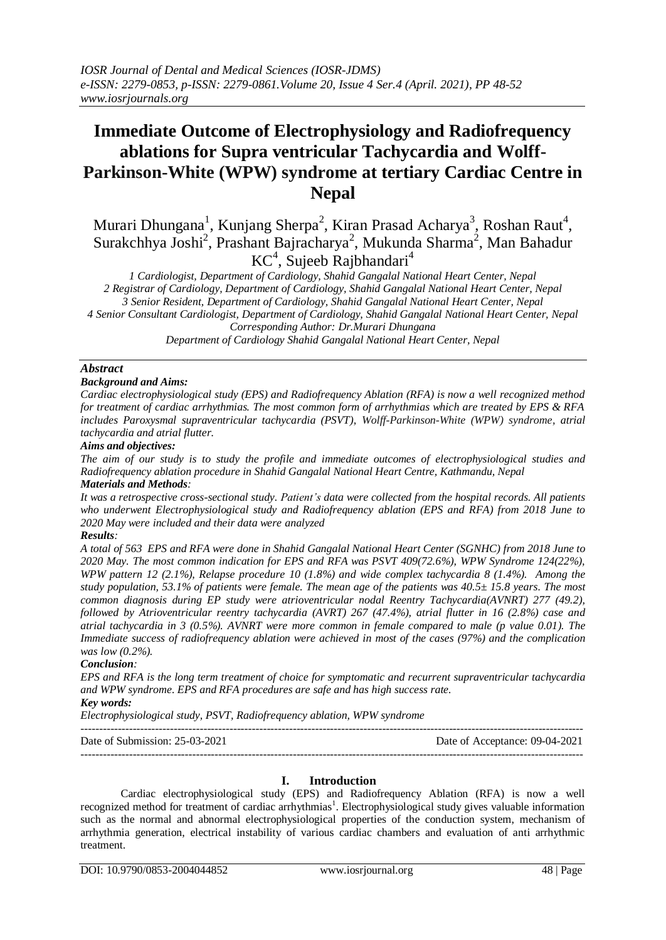# **Immediate Outcome of Electrophysiology and Radiofrequency ablations for Supra ventricular Tachycardia and Wolff-Parkinson-White (WPW) syndrome at tertiary Cardiac Centre in Nepal**

Murari Dhungana<sup>1</sup>, Kunjang Sherpa<sup>2</sup>, Kiran Prasad Acharya<sup>3</sup>, Roshan Raut<sup>4</sup>, Surakchhya Joshi<sup>2</sup>, Prashant Bajracharya<sup>2</sup>, Mukunda Sharma<sup>2</sup>, Man Bahadur KC<sup>4</sup>, Sujeeb Rajbhandari<sup>4</sup>

*1 Cardiologist, Department of Cardiology, Shahid Gangalal National Heart Center, Nepal 2 Registrar of Cardiology, Department of Cardiology, Shahid Gangalal National Heart Center, Nepal 3 Senior Resident, Department of Cardiology, Shahid Gangalal National Heart Center, Nepal 4 Senior Consultant Cardiologist, Department of Cardiology, Shahid Gangalal National Heart Center, Nepal Corresponding Author: Dr.Murari Dhungana Department of Cardiology Shahid Gangalal National Heart Center, Nepal*

### *Abstract*

#### *Background and Aims:*

*Cardiac electrophysiological study (EPS) and Radiofrequency Ablation (RFA) is now a well recognized method for treatment of cardiac arrhythmias. The most common form of arrhythmias which are treated by EPS & RFA includes Paroxysmal supraventricular tachycardia (PSVT), Wolff-Parkinson-White (WPW) syndrome, atrial tachycardia and atrial flutter.* 

#### *Aims and objectives:*

*The aim of our study is to study the profile and immediate outcomes of electrophysiological studies and Radiofrequency ablation procedure in Shahid Gangalal National Heart Centre, Kathmandu, Nepal Materials and Methods:* 

*It was a retrospective cross-sectional study. Patient's data were collected from the hospital records. All patients who underwent Electrophysiological study and Radiofrequency ablation (EPS and RFA) from 2018 June to 2020 May were included and their data were analyzed* 

#### *Results:*

*A total of 563 EPS and RFA were done in Shahid Gangalal National Heart Center (SGNHC) from 2018 June to 2020 May. The most common indication for EPS and RFA was PSVT 409(72.6%), WPW Syndrome 124(22%), WPW pattern 12 (2.1%), Relapse procedure 10 (1.8%) and wide complex tachycardia 8 (1.4%). Among the study population, 53.1% of patients were female. The mean age of the patients was 40.5± 15.8 years. The most common diagnosis during EP study were atrioventricular nodal Reentry Tachycardia(AVNRT) 277 (49.2), followed by Atrioventricular reentry tachycardia (AVRT) 267 (47.4%), atrial flutter in 16 (2.8%) case and atrial tachycardia in 3 (0.5%). AVNRT were more common in female compared to male (p value 0.01). The Immediate success of radiofrequency ablation were achieved in most of the cases (97%) and the complication was low (0.2%).*

#### *Conclusion:*

*EPS and RFA is the long term treatment of choice for symptomatic and recurrent supraventricular tachycardia and WPW syndrome. EPS and RFA procedures are safe and has high success rate.*

## *Key words:*

*Electrophysiological study, PSVT, Radiofrequency ablation, WPW syndrome*

--------------------------------------------------------------------------------------------------------------------------------------- Date of Submission: 25-03-2021 Date of Acceptance: 09-04-2021 ---------------------------------------------------------------------------------------------------------------------------------------

### **I. Introduction**

Cardiac electrophysiological study (EPS) and Radiofrequency Ablation (RFA) is now a well recognized method for treatment of cardiac arrhythmias<sup>1</sup>. Electrophysiological study gives valuable information such as the normal and abnormal electrophysiological properties of the conduction system, mechanism of arrhythmia generation, electrical instability of various cardiac chambers and evaluation of anti arrhythmic treatment.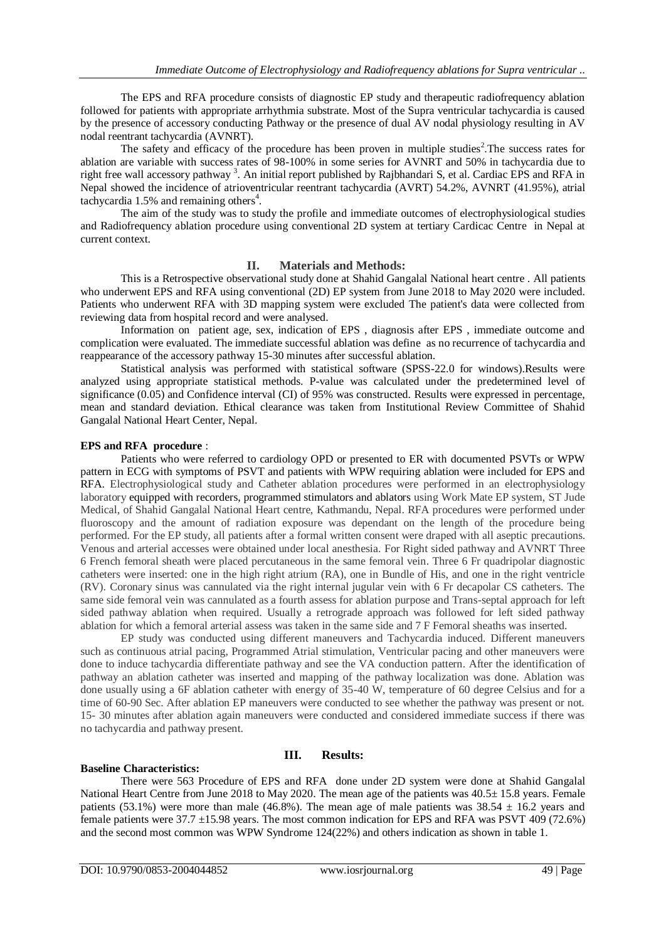The EPS and RFA procedure consists of diagnostic EP study and therapeutic radiofrequency ablation followed for patients with appropriate arrhythmia substrate. Most of the Supra ventricular tachycardia is caused by the presence of accessory conducting Pathway or the presence of dual AV nodal physiology resulting in AV nodal reentrant tachycardia (AVNRT).

The safety and efficacy of the procedure has been proven in multiple studies<sup>2</sup>. The success rates for ablation are variable with success rates of 98-100% in some series for AVNRT and 50% in tachycardia due to right free wall accessory pathway<sup>3</sup>. An initial report published by Rajbhandari S, et al. Cardiac EPS and RFA in Nepal showed the incidence of atrioventricular reentrant tachycardia (AVRT) 54.2%, AVNRT (41.95%), atrial tachycardia 1.5% and remaining others<sup>4</sup>.

The aim of the study was to study the profile and immediate outcomes of electrophysiological studies and Radiofrequency ablation procedure using conventional 2D system at tertiary Cardicac Centre in Nepal at current context.

#### **II. Materials and Methods:**

This is a Retrospective observational study done at Shahid Gangalal National heart centre . All patients who underwent EPS and RFA using conventional (2D) EP system from June 2018 to May 2020 were included. Patients who underwent RFA with 3D mapping system were excluded The patient's data were collected from reviewing data from hospital record and were analysed.

Information on patient age, sex, indication of EPS , diagnosis after EPS , immediate outcome and complication were evaluated. The immediate successful ablation was define as no recurrence of tachycardia and reappearance of the accessory pathway 15-30 minutes after successful ablation.

Statistical analysis was performed with statistical software (SPSS-22.0 for windows).Results were analyzed using appropriate statistical methods. P-value was calculated under the predetermined level of significance (0.05) and Confidence interval (CI) of 95% was constructed. Results were expressed in percentage, mean and standard deviation. Ethical clearance was taken from Institutional Review Committee of Shahid Gangalal National Heart Center, Nepal.

### **EPS and RFA procedure** :

Patients who were referred to cardiology OPD or presented to ER with documented PSVTs or WPW pattern in ECG with symptoms of PSVT and patients with WPW requiring ablation were included for EPS and RFA. Electrophysiological study and Catheter ablation procedures were performed in an electrophysiology laboratory equipped with recorders, programmed stimulators and ablators using Work Mate EP system, ST Jude Medical, of Shahid Gangalal National Heart centre, Kathmandu, Nepal. RFA procedures were performed under fluoroscopy and the amount of radiation exposure was dependant on the length of the procedure being performed. For the EP study, all patients after a formal written consent were draped with all aseptic precautions. Venous and arterial accesses were obtained under local anesthesia. For Right sided pathway and AVNRT Three 6 French femoral sheath were placed percutaneous in the same femoral vein. Three 6 Fr quadripolar diagnostic catheters were inserted: one in the high right atrium (RA), one in Bundle of His, and one in the right ventricle (RV). Coronary sinus was cannulated via the right internal jugular vein with 6 Fr decapolar CS catheters. The same side femoral vein was cannulated as a fourth assess for ablation purpose and Trans-septal approach for left sided pathway ablation when required. Usually a retrograde approach was followed for left sided pathway ablation for which a femoral arterial assess was taken in the same side and 7 F Femoral sheaths was inserted.

EP study was conducted using different maneuvers and Tachycardia induced. Different maneuvers such as continuous atrial pacing, Programmed Atrial stimulation, Ventricular pacing and other maneuvers were done to induce tachycardia differentiate pathway and see the VA conduction pattern. After the identification of pathway an ablation catheter was inserted and mapping of the pathway localization was done. Ablation was done usually using a 6F ablation catheter with energy of 35-40 W, temperature of 60 degree Celsius and for a time of 60-90 Sec. After ablation EP maneuvers were conducted to see whether the pathway was present or not. 15- 30 minutes after ablation again maneuvers were conducted and considered immediate success if there was no tachycardia and pathway present.

## **Baseline Characteristics:**

#### **III. Results:**

There were 563 Procedure of EPS and RFA done under 2D system were done at Shahid Gangalal National Heart Centre from June 2018 to May 2020. The mean age of the patients was 40.5± 15.8 years. Female patients (53.1%) were more than male (46.8%). The mean age of male patients was  $38.54 \pm 16.2$  years and female patients were 37.7 ±15.98 years. The most common indication for EPS and RFA was PSVT 409 (72.6%) and the second most common was WPW Syndrome 124(22%) and others indication as shown in table 1.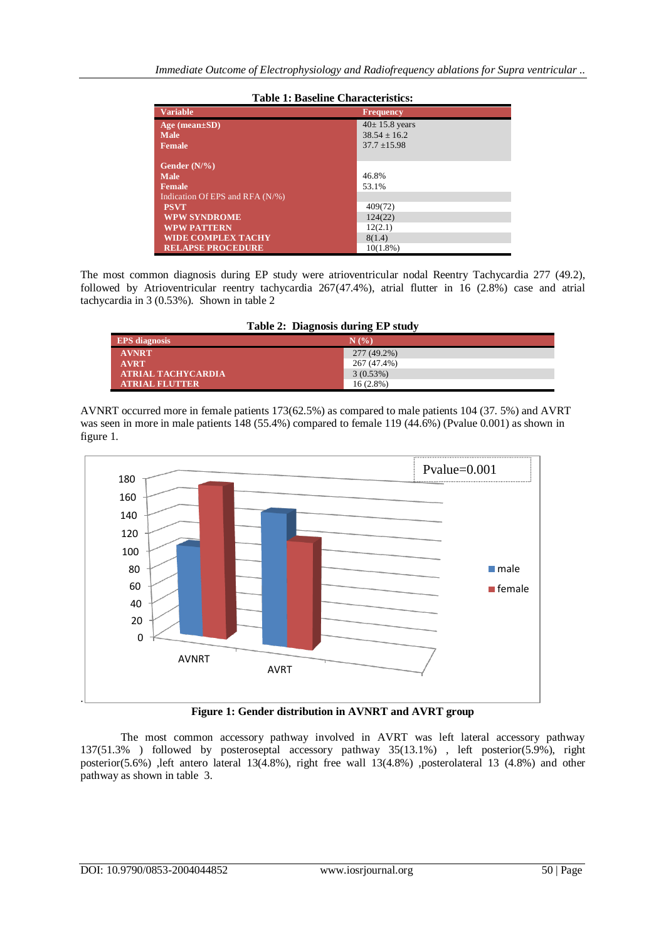| <b>Variable</b>                 | <b>Frequency</b>    |  |  |
|---------------------------------|---------------------|--|--|
| $Age (mean \pm SD)$             | $40 \pm 15.8$ years |  |  |
| <b>Male</b>                     | $38.54 + 16.2$      |  |  |
| <b>Female</b>                   | $37.7 \pm 15.98$    |  |  |
|                                 |                     |  |  |
| Gender $(N\frac{9}{6})$         |                     |  |  |
| <b>Male</b>                     | 46.8%               |  |  |
| Female                          | 53.1%               |  |  |
| Indication Of EPS and RFA (N/%) |                     |  |  |
| <b>PSVT</b>                     | 409(72)             |  |  |
| <b>WPW SYNDROME</b>             | 124(22)             |  |  |
| <b>WPW PATTERN</b>              | 12(2.1)             |  |  |
| <b>WIDE COMPLEX TACHY</b>       | 8(1.4)              |  |  |
| <b>RELAPSE PROCEDURE</b>        | $10(1.8\%)$         |  |  |

## **Table 1: Baseline Characteristics:**

The most common diagnosis during EP study were atrioventricular nodal Reentry Tachycardia 277 (49.2), followed by Atrioventricular reentry tachycardia 267(47.4%), atrial flutter in 16 (2.8%) case and atrial tachycardia in 3 (0.53%). Shown in table 2

| Table 2: Diagnosis during EP study |             |  |  |
|------------------------------------|-------------|--|--|
| <b>EPS</b> diagnosis               | N(%         |  |  |
| <b>AVNRT</b>                       | 277 (49.2%) |  |  |
| <b>AVRT</b>                        | 267 (47.4%) |  |  |
| <b>ATRIAL TACHYCARDIA</b>          | 3(0.53%)    |  |  |
| <b>ATRIAL FLUTTER</b>              | $16(2.8\%)$ |  |  |

AVNRT occurred more in female patients 173(62.5%) as compared to male patients 104 (37. 5%) and AVRT was seen in more in male patients 148 (55.4%) compared to female 119 (44.6%) (Pvalue 0.001) as shown in figure 1.



**Figure 1: Gender distribution in AVNRT and AVRT group**

The most common accessory pathway involved in AVRT was left lateral accessory pathway 137(51.3% ) followed by posteroseptal accessory pathway 35(13.1%) , left posterior(5.9%), right posterior(5.6%) ,left antero lateral 13(4.8%), right free wall 13(4.8%) ,posterolateral 13 (4.8%) and other pathway as shown in table 3.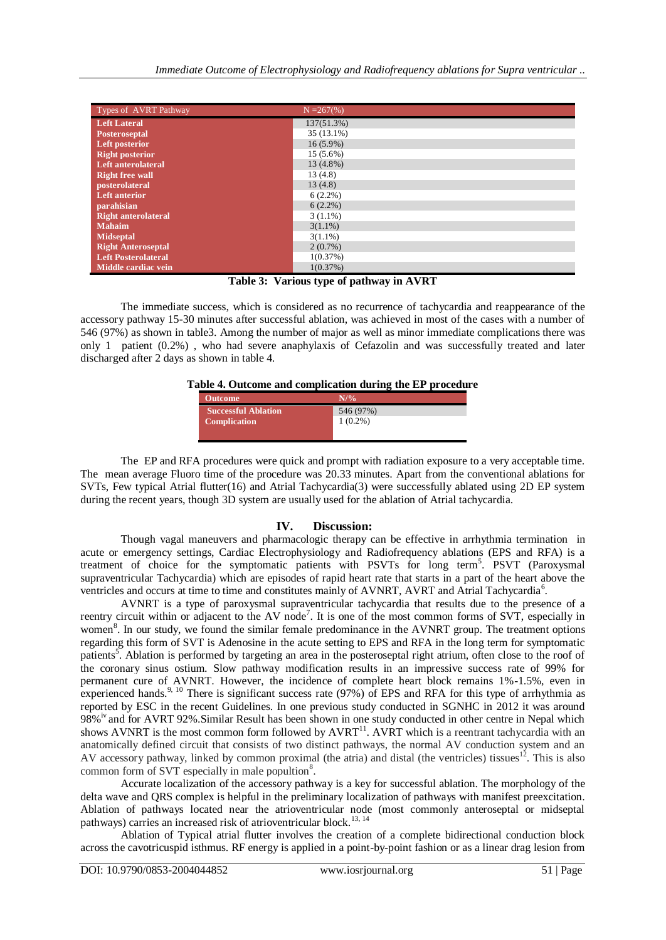| Types of AVRT Pathway      | $N = 267$ (%) |
|----------------------------|---------------|
| <b>Left Lateral</b>        | 137(51.3%)    |
| <b>Posteroseptal</b>       | 35 (13.1%)    |
| <b>Left posterior</b>      | $16(5.9\%)$   |
| <b>Right posterior</b>     | 15 (5.6%)     |
| Left anterolateral         | 13 (4.8%)     |
| <b>Right free wall</b>     | 13(4.8)       |
| posterolateral             | 13(4.8)       |
| <b>Left anterior</b>       | $6(2.2\%)$    |
| parahisian                 | $6(2.2\%)$    |
| <b>Right anterolateral</b> | $3(1.1\%)$    |
| <b>Mahaim</b>              | $3(1.1\%)$    |
| <b>Midseptal</b>           | $3(1.1\%)$    |
| <b>Right Anteroseptal</b>  | $2(0.7\%)$    |
| <b>Left Posterolateral</b> | 1(0.37%)      |
| Middle cardiac vein        | 1(0.37%)      |

**Table 3: Various type of pathway in AVRT**

The immediate success, which is considered as no recurrence of tachycardia and reappearance of the accessory pathway 15-30 minutes after successful ablation, was achieved in most of the cases with a number of 546 (97%) as shown in table3. Among the number of major as well as minor immediate complications there was only 1 patient (0.2%) , who had severe anaphylaxis of Cefazolin and was successfully treated and later discharged after 2 days as shown in table 4.

|  |  |  | Table 4. Outcome and complication during the EP procedure |
|--|--|--|-----------------------------------------------------------|
|  |  |  |                                                           |

| <b>Outcome</b>             | $N/$ %     |
|----------------------------|------------|
| <b>Successful Ablation</b> | 546 (97%)  |
| <b>Complication</b>        | $1(0.2\%)$ |
|                            |            |

The EP and RFA procedures were quick and prompt with radiation exposure to a very acceptable time. The mean average Fluoro time of the procedure was 20.33 minutes. Apart from the conventional ablations for SVTs, Few typical Atrial flutter(16) and Atrial Tachycardia(3) were successfully ablated using 2D EP system during the recent years, though 3D system are usually used for the ablation of Atrial tachycardia.

## **IV. Discussion:**

Though vagal maneuvers and pharmacologic therapy can be effective in arrhythmia termination in acute or emergency settings, Cardiac Electrophysiology and Radiofrequency ablations (EPS and RFA) is a treatment of choice for the symptomatic patients with PSVTs for long term<sup>5</sup>. PSVT (Paroxysmal supraventricular Tachycardia) which are episodes of rapid heart rate that starts in a part of the heart above the ventricles and occurs at time to time and constitutes mainly of AVNRT, AVRT and Atrial Tachycardia<sup>6</sup>.

AVNRT is a type of paroxysmal supraventricular tachycardia that results due to the presence of a reentry circuit within or adjacent to the AV node<sup>7</sup>. It is one of the most common forms of SVT, especially in women<sup>8</sup>. In our study, we found the similar female predominance in the AVNRT group. The treatment options regarding this form of SVT is Adenosine in the acute setting to EPS and RFA in the long term for symptomatic patients<sup>5</sup>. Ablation is performed by targeting an area in the posteroseptal right atrium, often close to the roof of the coronary sinus ostium. Slow pathway modification results in an impressive success rate of 99% for permanent cure of AVNRT. However, the incidence of complete heart block remains 1%-1.5%, even in experienced hands.<sup>9, 10</sup> There is significant success rate (97%) of EPS and RFA for this type of arrhythmia as reported by ESC in the recent Guidelines. In one previous study conducted in SGNHC in 2012 it was around 98%<sup>iv</sup> and for AVRT 92%.Similar Result has been shown in one study conducted in other centre in Nepal which shows AVNRT is the most common form followed by  $A \text{VRT}^{-11}$ . AVRT which is a reentrant tachycardia with an anatomically defined circuit that consists of two distinct pathways, the normal AV conduction system and an AV accessory pathway, linked by common proximal (the atria) and distal (the ventricles) tissues $12$ . This is also common form of SVT especially in male popultion<sup>8</sup>.

Accurate localization of the accessory pathway is a key for successful ablation. The morphology of the delta wave and QRS complex is helpful in the preliminary localization of pathways with manifest preexcitation. Ablation of pathways located near the atrioventricular node (most commonly anteroseptal or midseptal pathways) carries an increased risk of atrioventricular block.<sup>13, 14</sup>

Ablation of Typical atrial flutter involves the creation of a complete bidirectional conduction block across the cavotricuspid isthmus. RF energy is applied in a point-by-point fashion or as a linear drag lesion from